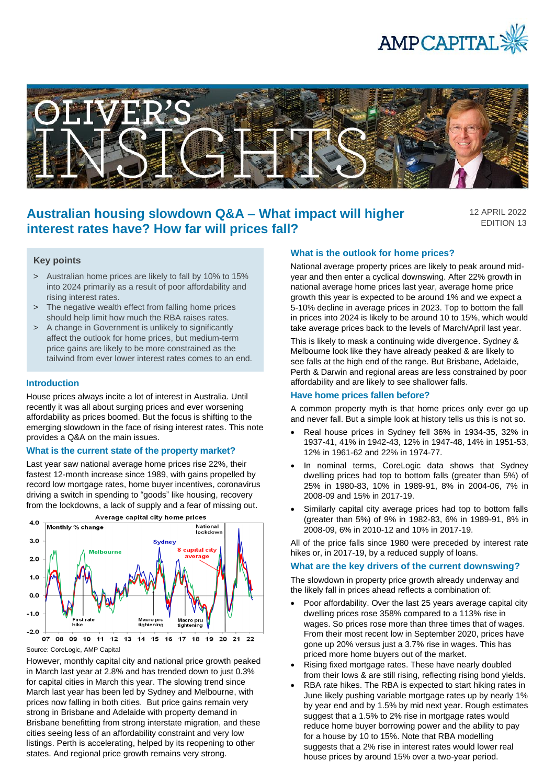



# **Australian housing slowdown Q&A – What impact will higher interest rates have? How far will prices fall?**

12 APRIL 2022 EDITION 13

### **Key points**

- > Australian home prices are likely to fall by 10% to 15% into 2024 primarily as a result of poor affordability and rising interest rates.
- > The negative wealth effect from falling home prices should help limit how much the RBA raises rates.
- > A change in Government is unlikely to significantly affect the outlook for home prices, but medium-term price gains are likely to be more constrained as the tailwind from ever lower interest rates comes to an end.

#### **Introduction**

House prices always incite a lot of interest in Australia. Until recently it was all about surging prices and ever worsening affordability as prices boomed. But the focus is shifting to the emerging slowdown in the face of rising interest rates. This note provides a Q&A on the main issues.

#### **What is the current state of the property market?**

Last year saw national average home prices rise 22%, their fastest 12-month increase since 1989, with gains propelled by record low mortgage rates, home buyer incentives, coronavirus driving a switch in spending to "goods" like housing, recovery from the lockdowns, a lack of supply and a fear of missing out.



However, monthly capital city and national price growth peaked in March last year at 2.8% and has trended down to just 0.3% for capital cities in March this year. The slowing trend since March last year has been led by Sydney and Melbourne, with prices now falling in both cities. But price gains remain very strong in Brisbane and Adelaide with property demand in Brisbane benefitting from strong interstate migration, and these cities seeing less of an affordability constraint and very low listings. Perth is accelerating, helped by its reopening to other states. And regional price growth remains very strong.

### **What is the outlook for home prices?**

National average property prices are likely to peak around midyear and then enter a cyclical downswing. After 22% growth in national average home prices last year, average home price growth this year is expected to be around 1% and we expect a 5-10% decline in average prices in 2023. Top to bottom the fall in prices into 2024 is likely to be around 10 to 15%, which would take average prices back to the levels of March/April last year.

This is likely to mask a continuing wide divergence. Sydney & Melbourne look like they have already peaked & are likely to see falls at the high end of the range. But Brisbane, Adelaide, Perth & Darwin and regional areas are less constrained by poor affordability and are likely to see shallower falls.

#### **Have home prices fallen before?**

A common property myth is that home prices only ever go up and never fall. But a simple look at history tells us this is not so.

- Real house prices in Sydney fell 36% in 1934-35, 32% in 1937-41, 41% in 1942-43, 12% in 1947-48, 14% in 1951-53, 12% in 1961-62 and 22% in 1974-77.
- In nominal terms, CoreLogic data shows that Sydney dwelling prices had top to bottom falls (greater than 5%) of 25% in 1980-83, 10% in 1989-91, 8% in 2004-06, 7% in 2008-09 and 15% in 2017-19.
- Similarly capital city average prices had top to bottom falls (greater than 5%) of 9% in 1982-83, 6% in 1989-91, 8% in 2008-09, 6% in 2010-12 and 10% in 2017-19.

All of the price falls since 1980 were preceded by interest rate hikes or, in 2017-19, by a reduced supply of loans.

#### **What are the key drivers of the current downswing?**

The slowdown in property price growth already underway and the likely fall in prices ahead reflects a combination of:

- Poor affordability. Over the last 25 years average capital city dwelling prices rose 358% compared to a 113% rise in wages. So prices rose more than three times that of wages. From their most recent low in September 2020, prices have gone up 20% versus just a 3.7% rise in wages. This has priced more home buyers out of the market.
- Rising fixed mortgage rates. These have nearly doubled from their lows & are still rising, reflecting rising bond yields.
- RBA rate hikes. The RBA is expected to start hiking rates in June likely pushing variable mortgage rates up by nearly 1% by year end and by 1.5% by mid next year. Rough estimates suggest that a 1.5% to 2% rise in mortgage rates would reduce home buyer borrowing power and the ability to pay for a house by 10 to 15%. Note that RBA modelling suggests that a 2% rise in interest rates would lower real house prices by around 15% over a two-year period.